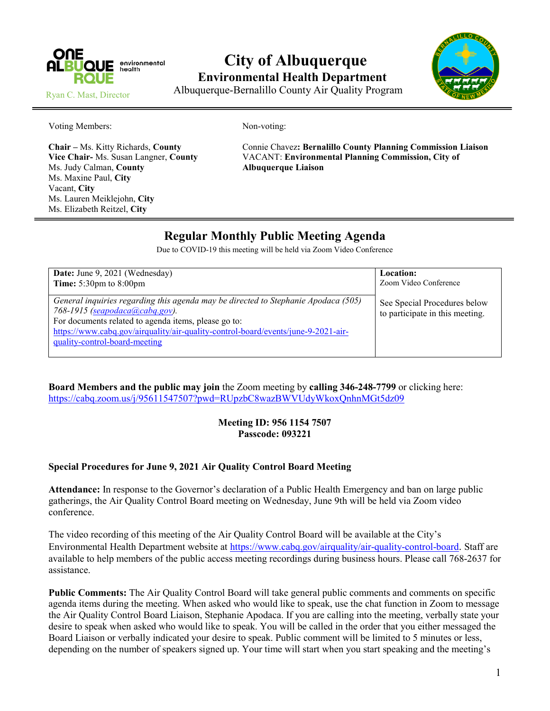

# **City of Albuquerque Environmental Health Department**



Ryan C. Mast, Director

Albuquerque-Bernalillo County Air Quality Program

Voting Members: Non-voting:

Ms. Judy Calman, **County Albuquerque Liaison** Ms. Maxine Paul, **City** Vacant, **City** Ms. Lauren Meiklejohn, **City** Ms. Elizabeth Reitzel, **City**

**Chair –** Ms. Kitty Richards, **County** Connie Chavez**: Bernalillo County Planning Commission Liaison Vice Chair-** Ms. Susan Langner, **County** VACANT: **Environmental Planning Commission, City of**

# **Regular Monthly Public Meeting Agenda**

Due to COVID-19 this meeting will be held via Zoom Video Conference

| Date: June 9, 2021 (Wednesday)                                                                                                                                                                                                                                                                           | Location:                                                       |
|----------------------------------------------------------------------------------------------------------------------------------------------------------------------------------------------------------------------------------------------------------------------------------------------------------|-----------------------------------------------------------------|
| <b>Time:</b> $5:30 \text{pm}$ to $8:00 \text{pm}$                                                                                                                                                                                                                                                        | Zoom Video Conference                                           |
| General inquiries regarding this agenda may be directed to Stephanie Apodaca (505)<br>$768 - 1915$ (seapodaca(a)cabq.gov).<br>For documents related to agenda items, please go to:<br>https://www.cabq.gov/airquality/air-quality-control-board/events/june-9-2021-air-<br>quality-control-board-meeting | See Special Procedures below<br>to participate in this meeting. |

**Board Members and the public may join** the Zoom meeting by **calling 346-248-7799** or clicking here: <https://cabq.zoom.us/j/95611547507?pwd=RUpzbC8wazBWVUdyWkoxQnhnMGt5dz09>

#### **Meeting ID: 956 1154 7507 Passcode: 093221**

#### **Special Procedures for June 9, 2021 Air Quality Control Board Meeting**

**Attendance:** In response to the Governor's declaration of a Public Health Emergency and ban on large public gatherings, the Air Quality Control Board meeting on Wednesday, June 9th will be held via Zoom video conference.

The video recording of this meeting of the Air Quality Control Board will be available at the City's Environmental Health Department website at [https://www.cabq.gov/airquality/air-quality-control-board.](https://www.cabq.gov/airquality/air-quality-control-board) Staff are available to help members of the public access meeting recordings during business hours. Please call 768-2637 for assistance.

**Public Comments:** The Air Quality Control Board will take general public comments and comments on specific agenda items during the meeting. When asked who would like to speak, use the chat function in Zoom to message the Air Quality Control Board Liaison, Stephanie Apodaca. If you are calling into the meeting, verbally state your desire to speak when asked who would like to speak. You will be called in the order that you either messaged the Board Liaison or verbally indicated your desire to speak. Public comment will be limited to 5 minutes or less, depending on the number of speakers signed up. Your time will start when you start speaking and the meeting's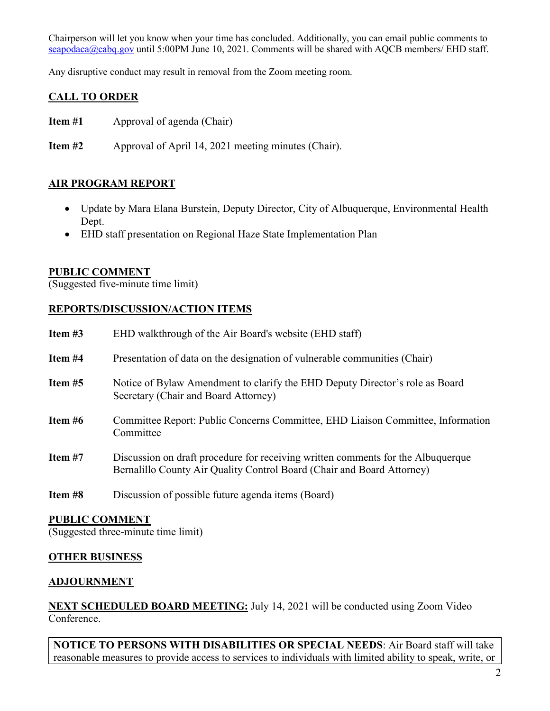Chairperson will let you know when your time has concluded. Additionally, you can email public comments to [seapodaca@cabq.gov](mailto:seapodaca@cabq.gov) until 5:00PM June 10, 2021. Comments will be shared with AQCB members/ EHD staff.

Any disruptive conduct may result in removal from the Zoom meeting room.

## **CALL TO ORDER**

**Item #1** Approval of agenda (Chair)

**Item #2** Approval of April 14, 2021 meeting minutes (Chair).

## **AIR PROGRAM REPORT**

- Update by Mara Elana Burstein, Deputy Director, City of Albuquerque, Environmental Health Dept.
- EHD staff presentation on Regional Haze State Implementation Plan

#### **PUBLIC COMMENT**

(Suggested five-minute time limit)

## **REPORTS/DISCUSSION/ACTION ITEMS**

| Item $#3$ | EHD walkthrough of the Air Board's website (EHD staff)                                                                                                     |
|-----------|------------------------------------------------------------------------------------------------------------------------------------------------------------|
| Item #4   | Presentation of data on the designation of vulnerable communities (Chair)                                                                                  |
| Item $#5$ | Notice of Bylaw Amendment to clarify the EHD Deputy Director's role as Board<br>Secretary (Chair and Board Attorney)                                       |
| Item $#6$ | Committee Report: Public Concerns Committee, EHD Liaison Committee, Information<br>Committee                                                               |
| Item $#7$ | Discussion on draft procedure for receiving written comments for the Albuquerque<br>Bernalillo County Air Quality Control Board (Chair and Board Attorney) |
| Item #8   | Discussion of possible future agenda items (Board)                                                                                                         |

#### **PUBLIC COMMENT**

(Suggested three-minute time limit)

# **OTHER BUSINESS**

#### **ADJOURNMENT**

**NEXT SCHEDULED BOARD MEETING:** July 14, 2021 will be conducted using Zoom Video Conference.

**NOTICE TO PERSONS WITH DISABILITIES OR SPECIAL NEEDS**: Air Board staff will take reasonable measures to provide access to services to individuals with limited ability to speak, write, or